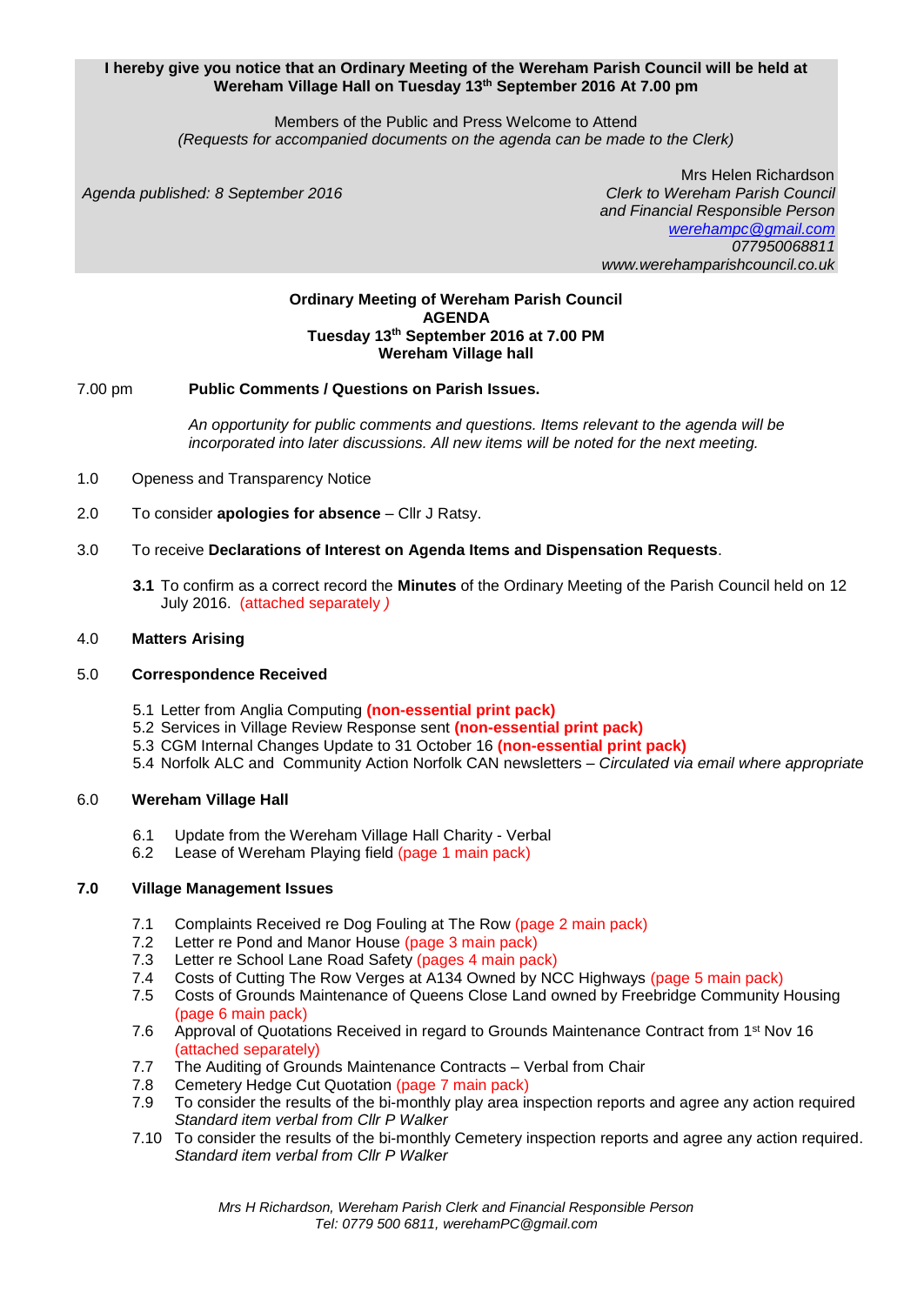#### **I hereby give you notice that an Ordinary Meeting of the Wereham Parish Council will be held at Wereham Village Hall on Tuesday 13 th September 2016 At 7.00 pm**

Members of the Public and Press Welcome to Attend *(Requests for accompanied documents on the agenda can be made to the Clerk)*

*Agenda published: 8 September 2016 Clerk to Wereham Parish Council*

 Mrs Helen Richardson *and Financial Responsible Person [werehampc@gmail.com](mailto:werehampc@gmail.com) 077950068811 www.werehamparishcouncil.co.uk*

#### **Ordinary Meeting of Wereham Parish Council AGENDA Tuesday 13 th September 2016 at 7.00 PM Wereham Village hall**

## 7.00 pm **Public Comments / Questions on Parish Issues.**

*An opportunity for public comments and questions. Items relevant to the agenda will be incorporated into later discussions. All new items will be noted for the next meeting.*

1.0 Openess and Transparency Notice

2.0 To consider **apologies for absence** – Cllr J Ratsy.

## 3.0 To receive **Declarations of Interest on Agenda Items and Dispensation Requests**.

**3.1** To confirm as a correct record the **Minutes** of the Ordinary Meeting of the Parish Council held on 12 July 2016.(attached separately *)*

#### 4.0 **Matters Arising**

#### 5.0 **Correspondence Received**

- 5.1 Letter from Anglia Computing **(non-essential print pack)**
- 5.2 Services in Village Review Response sent **(non-essential print pack)**
- 5.3 CGM Internal Changes Update to 31 October 16 **(non-essential print pack)**
- 5.4 Norfolk ALC and Community Action Norfolk CAN newsletters *– Circulated via email where appropriate*

## 6.0 **Wereham Village Hall**

- 6.1 Update from the Wereham Village Hall Charity Verbal
- 6.2 Lease of Wereham Playing field (page 1 main pack)

## **7.0 Village Management Issues**

- 7.1 Complaints Received re Dog Fouling at The Row (page 2 main pack)
- 7.2 Letter re Pond and Manor House (page 3 main pack)
- 7.3 Letter re School Lane Road Safety (pages 4 main pack)
- 7.4 Costs of Cutting The Row Verges at A134 Owned by NCC Highways (page 5 main pack)
- 7.5 Costs of Grounds Maintenance of Queens Close Land owned by Freebridge Community Housing (page 6 main pack)
- 7.6 Approval of Quotations Received in regard to Grounds Maintenance Contract from 1<sup>st</sup> Nov 16 (attached separately)
- 7.7 The Auditing of Grounds Maintenance Contracts Verbal from Chair
- 7.8 Cemetery Hedge Cut Quotation (page 7 main pack)
- 7.9 To consider the results of the bi-monthly play area inspection reports and agree any action required *Standard item verbal from Cllr P Walker*
- 7.10 To consider the results of the bi-monthly Cemetery inspection reports and agree any action required. *Standard item verbal from Cllr P Walker*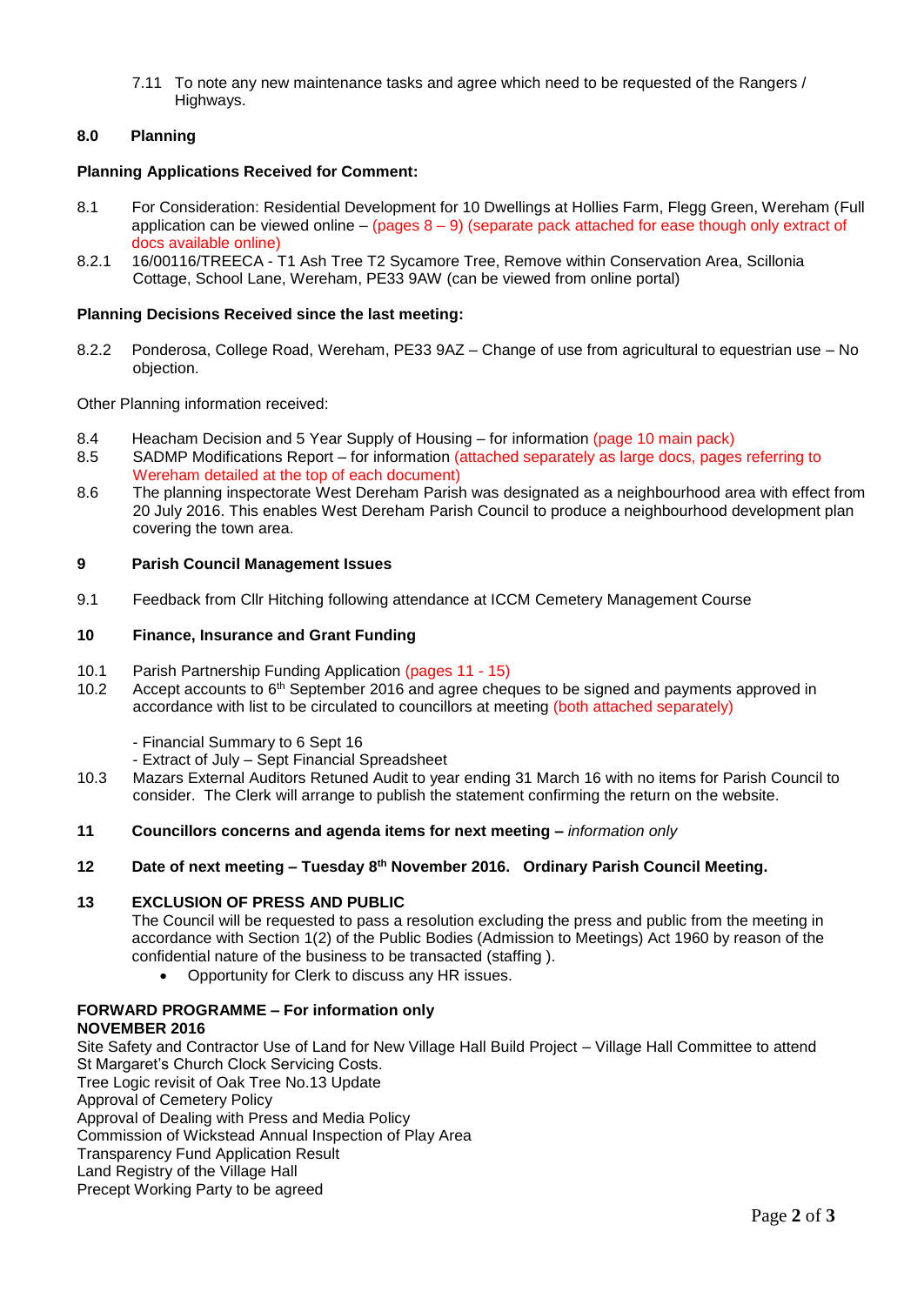7.11 To note any new maintenance tasks and agree which need to be requested of the Rangers / Highways.

#### **8.0 Planning**

#### **Planning Applications Received for Comment:**

- 8.1 For Consideration: Residential Development for 10 Dwellings at Hollies Farm, Flegg Green, Wereham (Full application can be viewed online – (pages  $8 - 9$ ) (separate pack attached for ease though only extract of docs available online)
- 8.2.1 16/00116/TREECA T1 Ash Tree T2 Sycamore Tree, Remove within Conservation Area, Scillonia Cottage, School Lane, Wereham, PE33 9AW (can be viewed from online portal)

#### **Planning Decisions Received since the last meeting:**

8.2.2 Ponderosa, College Road, Wereham, PE33 9AZ – Change of use from agricultural to equestrian use – No objection.

Other Planning information received:

- 8.4 Heacham Decision and 5 Year Supply of Housing for information (page 10 main pack)
- 8.5 SADMP Modifications Report for information (attached separately as large docs, pages referring to Wereham detailed at the top of each document)
- 8.6 The planning inspectorate West Dereham Parish was designated as a neighbourhood area with effect from 20 July 2016. This enables West Dereham Parish Council to produce a neighbourhood development plan covering the town area.

#### **9 Parish Council Management Issues**

9.1 Feedback from Cllr Hitching following attendance at ICCM Cemetery Management Course

#### **10 Finance, Insurance and Grant Funding**

- 10.1 Parish Partnership Funding Application (pages 11 15)
- 10.2 Accept accounts to 6<sup>th</sup> September 2016 and agree cheques to be signed and payments approved in accordance with list to be circulated to councillors at meeting (both attached separately)
	- Financial Summary to 6 Sept 16
	- Extract of July Sept Financial Spreadsheet
- 10.3 Mazars External Auditors Retuned Audit to year ending 31 March 16 with no items for Parish Council to consider. The Clerk will arrange to publish the statement confirming the return on the website.
- **11 Councillors concerns and agenda items for next meeting –** *information only*
- **12 Date of next meeting – Tuesday 8 th November 2016. Ordinary Parish Council Meeting.**

#### **13 EXCLUSION OF PRESS AND PUBLIC**

The Council will be requested to pass a resolution excluding the press and public from the meeting in accordance with Section 1(2) of the Public Bodies (Admission to Meetings) Act 1960 by reason of the confidential nature of the business to be transacted (staffing ).

Opportunity for Clerk to discuss any HR issues.

## **FORWARD PROGRAMME – For information only**

## **NOVEMBER 2016**

Site Safety and Contractor Use of Land for New Village Hall Build Project – Village Hall Committee to attend St Margaret's Church Clock Servicing Costs. Tree Logic revisit of Oak Tree No.13 Update Approval of Cemetery Policy Approval of Dealing with Press and Media Policy Commission of Wickstead Annual Inspection of Play Area Transparency Fund Application Result Land Registry of the Village Hall Precept Working Party to be agreed